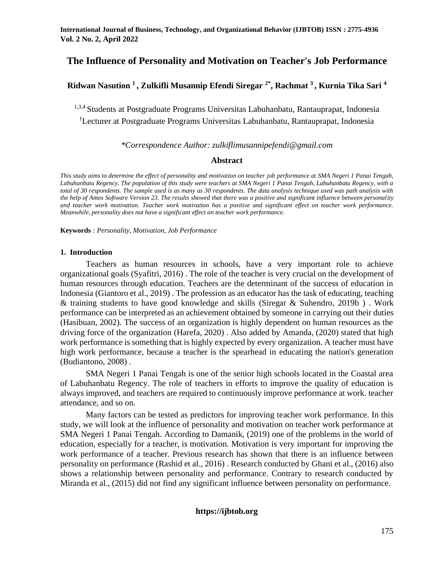# **The Influence of Personality and Motivation on Teacher's Job Performance**

# **Ridwan Nasution <sup>1</sup>, Zulkifli Musannip Efendi Siregar 2\*, Rachmat <sup>3</sup>, Kurnia Tika Sari <sup>4</sup>**

1,3,4 Students at Postgraduate Programs Universitas Labuhanbatu, Rantauprapat, Indonesia <sup>1</sup>Lecturer at Postgraduate Programs Universitas Labuhanbatu, Rantauprapat, Indonesia

#### *\*Correspondence Author: zulkiflimusannipefendi@gmail.com*

#### **Abstract**

*This study aims to determine the effect of personality and motivation on teacher job performance at SMA Negeri 1 Panai Tengah, Labuhanbatu Regency. The population of this study were teachers at SMA Negeri 1 Panai Tengah, Labuhanbatu Regency, with a total of 30 respondents. The sample used is as many as 30 respondents. The data analysis technique used was path analysis with the help of Amos Software Version 23. The results showed that there was a positive and significant influence between personality and teacher work motivation. Teacher work motivation has a positive and significant effect on teacher work performance. Meanwhile, personality does not have a significant effect on teacher work performance.*

**Keywords** *: Personality, Motivation, Job Performance*

#### **1. Introduction**

Teachers as human resources in schools, have a very important role to achieve organizational goals (Syafitri, 2016) . The role of the teacher is very crucial on the development of human resources through education. Teachers are the determinant of the success of education in Indonesia (Giantoro et al., 2019) . The profession as an educator has the task of educating, teaching & training students to have good knowledge and skills (Siregar & Suhendro, 2019b ) . Work performance can be interpreted as an achievement obtained by someone in carrying out their duties (Hasibuan, 2002). The success of an organization is highly dependent on human resources as the driving force of the organization (Harefa, 2020) . Also added by Amanda, (2020) stated that high work performance is something that is highly expected by every organization. A teacher must have high work performance, because a teacher is the spearhead in educating the nation's generation (Budiantono, 2008) .

SMA Negeri 1 Panai Tengah is one of the senior high schools located in the Coastal area of Labuhanbatu Regency. The role of teachers in efforts to improve the quality of education is always improved, and teachers are required to continuously improve performance at work. teacher attendance, and so on.

Many factors can be tested as predictors for improving teacher work performance. In this study, we will look at the influence of personality and motivation on teacher work performance at SMA Negeri 1 Panai Tengah. According to Damanik, (2019) one of the problems in the world of education, especially for a teacher, is motivation. Motivation is very important for improving the work performance of a teacher. Previous research has shown that there is an influence between personality on performance (Rashid et al., 2016) . Research conducted by Ghani et al., (2016) also shows a relationship between personality and performance. Contrary to research conducted by Miranda et al., (2015) did not find any significant influence between personality on performance.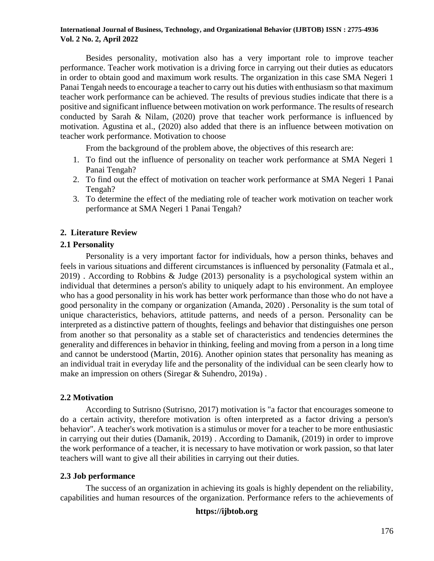Besides personality, motivation also has a very important role to improve teacher performance. Teacher work motivation is a driving force in carrying out their duties as educators in order to obtain good and maximum work results. The organization in this case SMA Negeri 1 Panai Tengah needs to encourage a teacher to carry out his duties with enthusiasm so that maximum teacher work performance can be achieved. The results of previous studies indicate that there is a positive and significant influence between motivation on work performance. The results of research conducted by Sarah & Nilam, (2020) prove that teacher work performance is influenced by motivation. Agustina et al., (2020) also added that there is an influence between motivation on teacher work performance. Motivation to choose

From the background of the problem above, the objectives of this research are:

- 1. To find out the influence of personality on teacher work performance at SMA Negeri 1 Panai Tengah?
- 2. To find out the effect of motivation on teacher work performance at SMA Negeri 1 Panai Tengah?
- 3. To determine the effect of the mediating role of teacher work motivation on teacher work performance at SMA Negeri 1 Panai Tengah?

### **2. Literature Review**

### **2.1 Personality**

Personality is a very important factor for individuals, how a person thinks, behaves and feels in various situations and different circumstances is influenced by personality (Fatmala et al., 2019) . According to Robbins & Judge (2013) personality is a psychological system within an individual that determines a person's ability to uniquely adapt to his environment. An employee who has a good personality in his work has better work performance than those who do not have a good personality in the company or organization (Amanda, 2020) . Personality is the sum total of unique characteristics, behaviors, attitude patterns, and needs of a person. Personality can be interpreted as a distinctive pattern of thoughts, feelings and behavior that distinguishes one person from another so that personality as a stable set of characteristics and tendencies determines the generality and differences in behavior in thinking, feeling and moving from a person in a long time and cannot be understood (Martin, 2016). Another opinion states that personality has meaning as an individual trait in everyday life and the personality of the individual can be seen clearly how to make an impression on others (Siregar & Suhendro, 2019a) .

### **2.2 Motivation**

According to Sutrisno (Sutrisno, 2017) motivation is "a factor that encourages someone to do a certain activity, therefore motivation is often interpreted as a factor driving a person's behavior". A teacher's work motivation is a stimulus or mover for a teacher to be more enthusiastic in carrying out their duties (Damanik, 2019) . According to Damanik, (2019) in order to improve the work performance of a teacher, it is necessary to have motivation or work passion, so that later teachers will want to give all their abilities in carrying out their duties.

### **2.3 Job performance**

The success of an organization in achieving its goals is highly dependent on the reliability, capabilities and human resources of the organization. Performance refers to the achievements of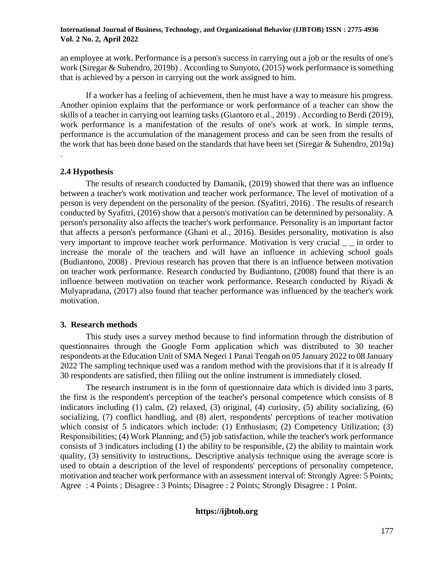an employee at work. Performance is a person's success in carrying out a job or the results of one's work (Siregar & Suhendro, 2019b) . According to Sunyoto, (2015) work performance is something that is achieved by a person in carrying out the work assigned to him.

If a worker has a feeling of achievement, then he must have a way to measure his progress. Another opinion explains that the performance or work performance of a teacher can show the skills of a teacher in carrying out learning tasks (Giantoro et al., 2019) . According to Berdi (2019), work performance is a manifestation of the results of one's work at work. In simple terms, performance is the accumulation of the management process and can be seen from the results of the work that has been done based on the standards that have been set (Siregar & Suhendro, 2019a) .

### **2.4 Hypothesis**

The results of research conducted by Damanik, (2019) showed that there was an influence between a teacher's work motivation and teacher work performance. The level of motivation of a person is very dependent on the personality of the person. (Syafitri, 2016) . The results of research conducted by Syafitri, (2016) show that a person's motivation can be determined by personality. A person's personality also affects the teacher's work performance. Personality is an important factor that affects a person's performance (Ghani et al., 2016). Besides personality, motivation is also very important to improve teacher work performance. Motivation is very crucial \_\_\_ in order to increase the morale of the teachers and will have an influence in achieving school goals (Budiantono, 2008) . Previous research has proven that there is an influence between motivation on teacher work performance. Research conducted by Budiantono, (2008) found that there is an influence between motivation on teacher work performance. Research conducted by Riyadi & Mulyapradana, (2017) also found that teacher performance was influenced by the teacher's work motivation.

### **3. Research methods**

This study uses a survey method because to find information through the distribution of questionnaires through the Google Form application which was distributed to 30 teacher respondents at the Education Unit of SMA Negeri 1 Panai Tengah on 05 January 2022 to 08 January 2022 The sampling technique used was a random method with the provisions that if it is already If 30 respondents are satisfied, then filling out the online instrument is immediately closed.

The research instrument is in the form of questionnaire data which is divided into 3 parts, the first is the respondent's perception of the teacher's personal competence which consists of 8 indicators including (1) calm, (2) relaxed, (3) original, (4) curiosity, (5) ability socializing, (6) socializing, (7) conflict handling, and (8) alert, respondents' perceptions of teacher motivation which consist of 5 indicators which include: (1) Enthusiasm; (2) Competency Utilization; (3) Responsibilities; (4) Work Planning; and (5) job satisfaction, while the teacher's work performance consists of 3 indicators including (1) the ability to be responsible, (2) the ability to maintain work quality, (3) sensitivity to instructions,. Descriptive analysis technique using the average score is used to obtain a description of the level of respondents' perceptions of personality competence, motivation and teacher work performance with an assessment interval of: Strongly Agree: 5 Points; Agree : 4 Points ; Disagree : 3 Points; Disagree : 2 Points; Strongly Disagree : 1 Point.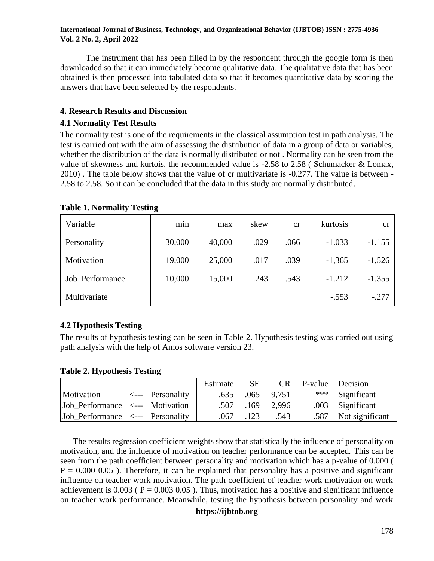The instrument that has been filled in by the respondent through the google form is then downloaded so that it can immediately become qualitative data. The qualitative data that has been obtained is then processed into tabulated data so that it becomes quantitative data by scoring the answers that have been selected by the respondents.

### **4. Research Results and Discussion**

### **4.1 Normality Test Results**

The normality test is one of the requirements in the classical assumption test in path analysis. The test is carried out with the aim of assessing the distribution of data in a group of data or variables, whether the distribution of the data is normally distributed or not . Normality can be seen from the value of skewness and kurtois, the recommended value is -2.58 to 2.58 ( Schumacker & Lomax, 2010) . The table below shows that the value of cr multivariate is -0.277. The value is between - 2.58 to 2.58. So it can be concluded that the data in this study are normally distributed.

| Variable        | m <sub>1</sub> n | max    | skew | cr   | kurtosis | cr       |
|-----------------|------------------|--------|------|------|----------|----------|
| Personality     | 30,000           | 40,000 | .029 | .066 | $-1.033$ | $-1.155$ |
| Motivation      | 19,000           | 25,000 | .017 | .039 | $-1,365$ | $-1,526$ |
| Job Performance | 10,000           | 15,000 | .243 | .543 | $-1.212$ | $-1.355$ |
| Multivariate    |                  |        |      |      | $-.553$  | $-.277$  |

### **Table 1. Normality Testing**

# **4.2 Hypothesis Testing**

The results of hypothesis testing can be seen in Table 2. Hypothesis testing was carried out using path analysis with the help of Amos software version 23.

**Table 2. Hypothesis Testing**

|                                             |                  | Estimate | <b>SE</b> | CR <sup>1</sup> | P-value Decision     |
|---------------------------------------------|------------------|----------|-----------|-----------------|----------------------|
| Motivation                                  | <--- Personality | .635     |           | .065 9.751      | *** Significant      |
| Job_Performance <--- Motivation             |                  | .507     | .169      | 2,996           | .003 Significant     |
| $ Job\_Performance  \leftarrow$ Personality |                  | .067     | .123      | .543            | .587 Not significant |

The results regression coefficient weights show that statistically the influence of personality on motivation, and the influence of motivation on teacher performance can be accepted. This can be seen from the path coefficient between personality and motivation which has a p-value of 0.000 (  $P = 0.000 0.05$ ). Therefore, it can be explained that personality has a positive and significant influence on teacher work motivation. The path coefficient of teacher work motivation on work achievement is  $0.003$  ( $P = 0.003$  0.05). Thus, motivation has a positive and significant influence on teacher work performance. Meanwhile, testing the hypothesis between personality and work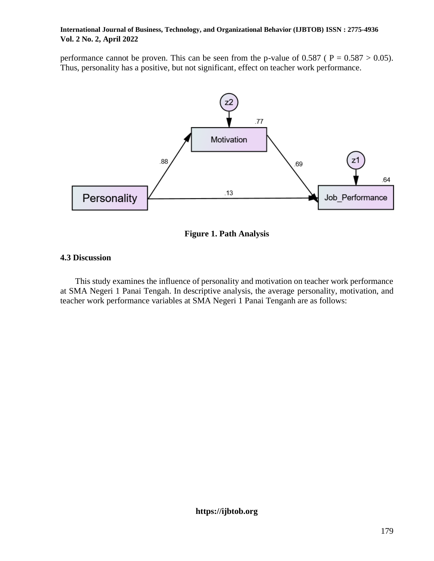performance cannot be proven. This can be seen from the p-value of  $0.587$  ( $P = 0.587 > 0.05$ ). Thus, personality has a positive, but not significant, effect on teacher work performance.



**Figure 1. Path Analysis**

# **4.3 Discussion**

This study examines the influence of personality and motivation on teacher work performance at SMA Negeri 1 Panai Tengah. In descriptive analysis, the average personality, motivation, and teacher work performance variables at SMA Negeri 1 Panai Tenganh are as follows: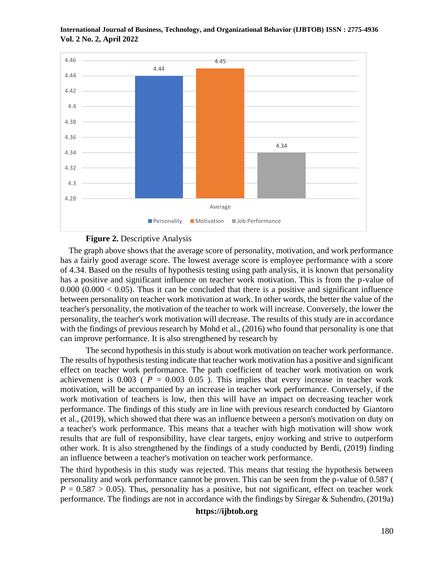

#### **Figure 2. Descriptive Analysis**

The graph above shows that the average score of personality, motivation, and work performance has a fairly good average score. The lowest average score is employee performance with a score of 4.34. Based on the results of hypothesis testing using path analysis, it is known that personality has a positive and significant influence on teacher work motivation. This is from the p-value of  $0.000$   $(0.000 < 0.05)$ . Thus it can be concluded that there is a positive and significant influence between personality on teacher work motivation at work. In other words, the better the value of the teacher's personality, the motivation of the teacher to work will increase. Conversely, the lower the personality, the teacher's work motivation will decrease. The results of this study are in accordance with the findings of previous research by Mohd et al., (2016) who found that personality is one that can improve performance. It is also strengthened by research by

The second hypothesis in this study is about work motivation on teacher work performance. The results of hypothesis testing indicate that teacher work motivation has a positive and significant effect on teacher work performance. The path coefficient of teacher work motivation on work achievement is  $0.003$  ( $P = 0.003$  0.05). This implies that every increase in teacher work motivation, will be accompanied by an increase in teacher work performance. Conversely, if the work motivation of teachers is low, then this will have an impact on decreasing teacher work performance. The findings of this study are in line with previous research conducted by Giantoro et al., (2019), which showed that there was an influence between a person's motivation on duty on a teacher's work performance. This means that a teacher with high motivation will show work results that are full of responsibility, have clear targets, enjoy working and strive to outperform other work. It is also strengthened by the findings of a study conducted by Berdi, (2019) finding an influence between a teacher's motivation on teacher work performance.

The third hypothesis in this study was rejected. This means that testing the hypothesis between personality and work performance cannot be proven. This can be seen from the p-value of 0.587 (  $P = 0.587 > 0.05$ ). Thus, personality has a positive, but not significant, effect on teacher work performance. The findings are not in accordance with the findings by Siregar & Suhendro, (2019a)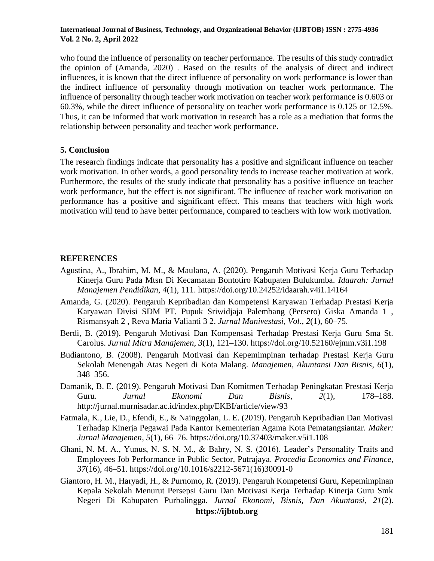who found the influence of personality on teacher performance. The results of this study contradict the opinion of (Amanda, 2020) . Based on the results of the analysis of direct and indirect influences, it is known that the direct influence of personality on work performance is lower than the indirect influence of personality through motivation on teacher work performance. The influence of personality through teacher work motivation on teacher work performance is 0.603 or 60.3%, while the direct influence of personality on teacher work performance is 0.125 or 12.5%. Thus, it can be informed that work motivation in research has a role as a mediation that forms the relationship between personality and teacher work performance.

### **5. Conclusion**

The research findings indicate that personality has a positive and significant influence on teacher work motivation. In other words, a good personality tends to increase teacher motivation at work. Furthermore, the results of the study indicate that personality has a positive influence on teacher work performance, but the effect is not significant. The influence of teacher work motivation on performance has a positive and significant effect. This means that teachers with high work motivation will tend to have better performance, compared to teachers with low work motivation.

### **REFERENCES**

- Agustina, A., Ibrahim, M. M., & Maulana, A. (2020). Pengaruh Motivasi Kerja Guru Terhadap Kinerja Guru Pada Mtsn Di Kecamatan Bontotiro Kabupaten Bulukumba. *Idaarah: Jurnal Manajemen Pendidikan*, *4*(1), 111. https://doi.org/10.24252/idaarah.v4i1.14164
- Amanda, G. (2020). Pengaruh Kepribadian dan Kompetensi Karyawan Terhadap Prestasi Kerja Karyawan Divisi SDM PT. Pupuk Sriwidjaja Palembang (Persero) Giska Amanda 1 , Rismansyah 2 , Reva Maria Valianti 3 2. *Jurnal Manivestasi, Vol.*, *2*(1), 60–75.
- Berdi, B. (2019). Pengaruh Motivasi Dan Kompensasi Terhadap Prestasi Kerja Guru Sma St. Carolus. *Jurnal Mitra Manajemen*, *3*(1), 121–130. https://doi.org/10.52160/ejmm.v3i1.198
- Budiantono, B. (2008). Pengaruh Motivasi dan Kepemimpinan terhadap Prestasi Kerja Guru Sekolah Menengah Atas Negeri di Kota Malang. *Manajemen, Akuntansi Dan Bisnis*, *6*(1), 348–356.
- Damanik, B. E. (2019). Pengaruh Motivasi Dan Komitmen Terhadap Peningkatan Prestasi Kerja Guru. *Jurnal Ekonomi Dan Bisnis*, *2*(1), 178–188. http://jurnal.murnisadar.ac.id/index.php/EKBI/article/view/93
- Fatmala, K., Lie, D., Efendi, E., & Nainggolan, L. E. (2019). Pengaruh Kepribadian Dan Motivasi Terhadap Kinerja Pegawai Pada Kantor Kementerian Agama Kota Pematangsiantar. *Maker: Jurnal Manajemen*, *5*(1), 66–76. https://doi.org/10.37403/maker.v5i1.108
- Ghani, N. M. A., Yunus, N. S. N. M., & Bahry, N. S. (2016). Leader's Personality Traits and Employees Job Performance in Public Sector, Putrajaya. *Procedia Economics and Finance*, *37*(16), 46–51. https://doi.org/10.1016/s2212-5671(16)30091-0
- **https://ijbtob.org** Giantoro, H. M., Haryadi, H., & Purnomo, R. (2019). Pengaruh Kompetensi Guru, Kepemimpinan Kepala Sekolah Menurut Persepsi Guru Dan Motivasi Kerja Terhadap Kinerja Guru Smk Negeri Di Kabupaten Purbalingga. *Jurnal Ekonomi, Bisnis, Dan Akuntansi*, *21*(2).